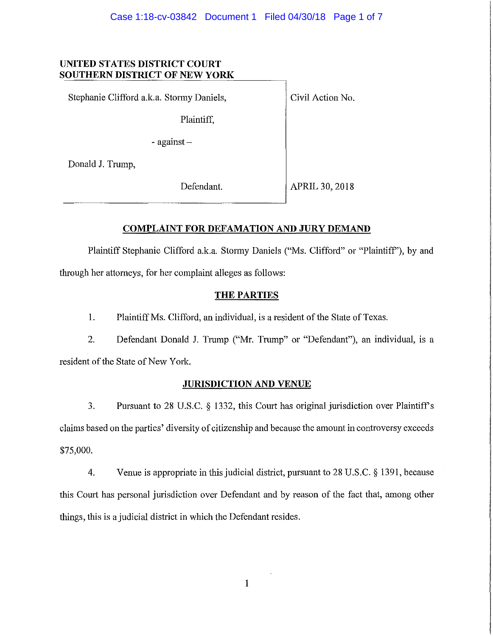## **UNITED STATES DISTRICT COURT SOUTHERN DISTRICT OF NEW YORK**

Stephanie Clifford a.k.a. Stormy Daniels,

Plaintiff,

- against -

Donald J. Trump,

Defendant.

Civil Action No.

APRIL 30, 2018

# **COMPLAINT FOR DEFAMATION AND JURY DEMAND**

Plaintiff Stephanie Clifford a.k.a. Stormy Daniels ("Ms. Clifford" or "Plaintiff'), by and through her attorneys, for her complaint alleges as follows:

# THE PARTIES

1. Plaintiff Ms. Clifford, an individual, is a resident of the State of Texas.

2. Defendant Donald J. Trump ("Mr. Trump" or "Defendant"), an individual, is a resident of the State of New York.

# **JURISDICTION AND VENUE**

3. Pursuant to 28 U.S.C. § 1332, this Court has original jurisdiction over Plaintiff's claims based on the parties' diversity of citizenship and because the amount in controversy exceeds \$75,000.

4. Venue is appropriate in this judicial district, pursuant to 28 U.S.C. § 1391, because this Court has personal jurisdiction over Defendant and by reason of the fact that, among other things, this is a judicial district in which the Defendant resides.

I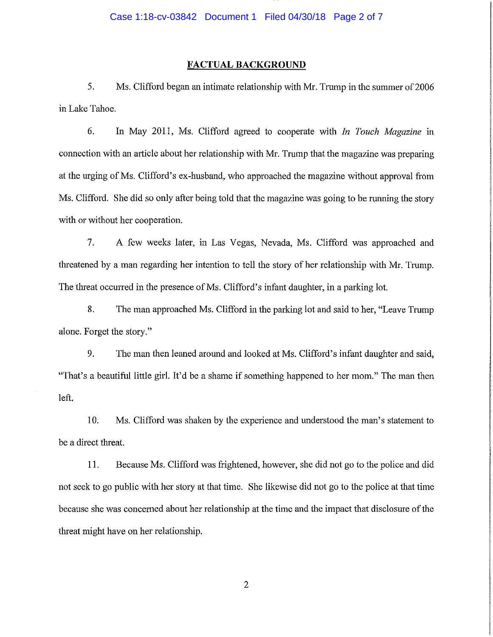#### FACTUAL BACKGROUND

5. Ms. Clifford began an intimate relationship with Mr. Trump in the summer of 2006 in Lake Tahoe.

6. In May 2011, Ms. Clifford agreed to cooperate with *In Touch Magazine* in connection with an article about her relationship with Mr. Trump that the magazine was preparing at the urging of Ms. Clifford's ex-husband, who approached the magazine without approval from Ms. Clifford. She did so only after being told that the magazine was going to be running the story with or without her cooperation.

7. A few weeks later, in Las Vegas, Nevada, Ms. Clifford was approached and threatened by a man regarding her intention to tell the story of her relationship with Mr. Trump. The threat occurred in the presence of Ms. Clifford's infant daughter, in a parking lot.

8. The man approached Ms. Clifford in the parking lot and said to her, "Leave Trump" alone. Forget the story."

9. The man then leaned around and looked at Ms. Clifford's infant daughter and said, "That's a beautiful little girl. It'd be a shame if something happened to her mom." The man then left.

10. Ms. Clifford was shaken by the experience and understood the man's statement to be a direct threat.

11. Because Ms. Clifford was frightened, however, she did not go to the police and did not seek to go public with her story at that time. She likewise did not go to the police at that time because she was concerned about her relationship at the time and the impact that disclosure of the threat might have on her relationship.

2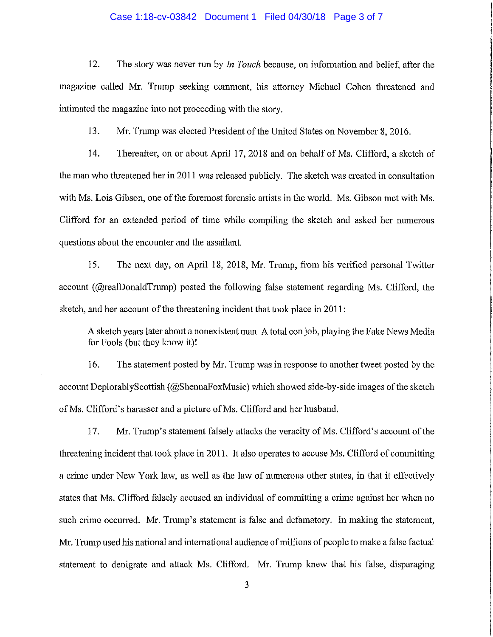#### Case 1:18-cv-03842 Document 1 Filed 04/30/18 Page 3 of 7

12. The story was never run by *In Touch* because, on information and belief, after the magazine called Mr. Trump seeking comment, his attorney Michael Cohen threatened and intimated the magazine into not proceeding with the story.

13. Mr. Trump was elected President of the United States on November 8, 2016.

14. Thereafter, on or about April 17,2018 and on behalf of Ms. Clifford, a sketch of the man who threatened her in 20 II was released publicly. The sketch was created in consultation with Ms. Lois Gibson, one of the foremost forensic artists in the world. Ms. Gibson met with Ms. Clifford for an extended period of time while compiling the sketch and asked her numerous questions about the encounter and the assailant.

15. The next day, on April 18, 2018, Mr. Trump, from his verified personal Twitter account (@reaIDonaldTrump) posted the following false statement regarding Ms. Clifford, the sketch, and her account of the threatening incident that took place in 2011:

A sketch years later about a nonexistent man. A total con job, playing the Fake News Media for Fools (but they know it)!

16. The statement posted by Mr. Trump was in response to another tweet posted by the account DeplorablyScottish (@ShennaFoxMusic) which showed side-by-side images of the sketch of Ms. Clifford's harasser and a picture of Ms. Clifford and her husband.

17. Mr. Trump's statement falsely attacks the veracity of Ms. Clifford's account of the threatening incident that took place in 2011. It also operates to accuse Ms. Clifford of committing a crime under New York law, as well as the law of numerous other states, in that it effectively states that Ms. Clifford falsely accused an individual of committing a crime against her when no such crime occurred. Mr. Trump's statement is false and defamatory. In making the statement, Mr. Trump used his national and international audience of millions of people to make a false factual statement to denigrate and attack Ms. Clifford. Mr. Trump knew that his false, disparaging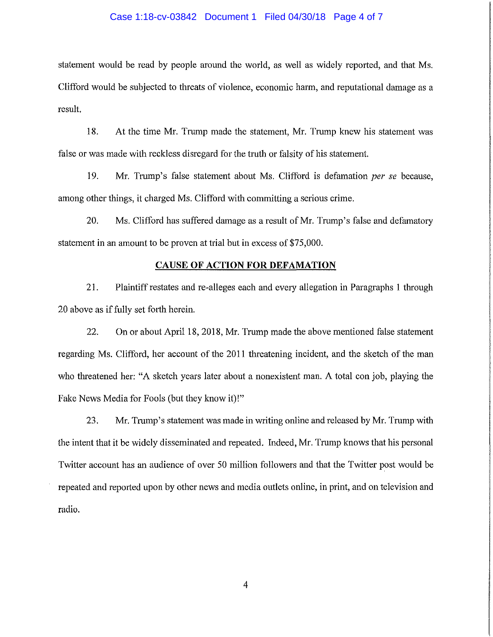#### Case 1:18-cv-03842 Document 1 Filed 04/30/18 Page 4 of 7

statement would be read by people around the world, as well as widely reported, and that Ms. Clifford would be subjected to threats of violence, economic harm, and reputational damage as a result.

18. At the time Mr. Trump made the statement, Mr. Trump knew his statement was false or was made with reckless disregard for the ttuth or falsity of his statement.

19. Mr. Ttump's false statement about Ms. Clifford is defamation *per* se because, among other things, it charged Ms. Clifford with committing a serious crime.

20. Ms. Clifford has suffered damage as a result of Mr. Trump's false and defamatory statement in an amount to be proven at trial but in excess of \$75,000.

#### **CAUSE OF ACTION FOR DEFAMATION**

21. Plaintiff restates and re-alleges each and every allegation in Paragraphs 1 through 20 above as if fully set forth herein.

22. On or about April 18, 2018, Mr. Trump made the above mentioned false statement regarding Ms. Clifford, her account of the 2011 threatening incident, and the sketch of the man who threatened her: "A sketch years later about a nonexistent man. A total con job, playing the Fake News Media for Fools (but they know it)!"

23. Mr. Trump's statement was made in writing online and released by Mr. Trump with the intent that it be widely disseminated and repeated. Indeed, Mr. Trump knows that his personal Twitter account has an audience of over 50 million followers and that the Twitter post would be repeated and reported upon by other news and media outlets online, in print, and on television and radio.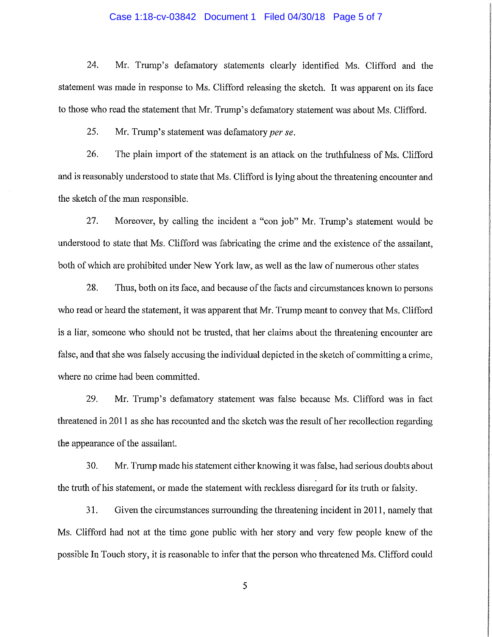#### Case 1:18-cv-03842 Document 1 Filed 04/30/18 Page 5 of 7

24. Mr. Trump's defamatory statements clearly identified Ms. Clifford and the statement was made in response to Ms. Clifford releasing the sketch. It was apparent on its face to those who read the statement that Mr. Trump's defamatory statement was about Ms. Clifford.

25. Mr. Trump's statement was defamatory *per se.*

26. The plain import of the statement is an attack on the truthfulness of Ms. Clifford and is reasonably understood to state that Ms. Clifford is lying about the threatening encounter and the sketch of the man responsible.

27. Moreover, by calling the incident a "con job" Mr. Trump's statement would be understood to state that Ms. Clifford was fabricating the crime and the existence of the assailant, both of which are prohibited under New York law, as well as the law of numerous other states

28. Thus, both on its face, and because of the facts and circumstances known to persons who read or heard the statement, it was apparent that Mr. Trump meant to convey that Ms. Clifford is a liar, someone who should not be trusted, that her claims about the threatening encounter are false, and that she was falsely accusing the individual depicted in the sketch of committing a crime, where no crime had been committed.

29. Mr. Trump's defamatory statement was false because Ms. Clifford was in fact threatened in 2011 as she has recounted and the sketch was the result of her recollection regarding the appearance of the assailant.

30. Mr. Trump made his statement either knowing it was false, had serious doubts about the truth of his statement, or made the statement with reckless disregard for its truth or falsity.

31. Given the circumstances surrounding the threatening incident in 20**II,** namely that Ms. Clifford had not at the time gone public with her story and very few people knew of the possible In Touch story, it is reasonable to infer that the person who threatened Ms. Clifford could

5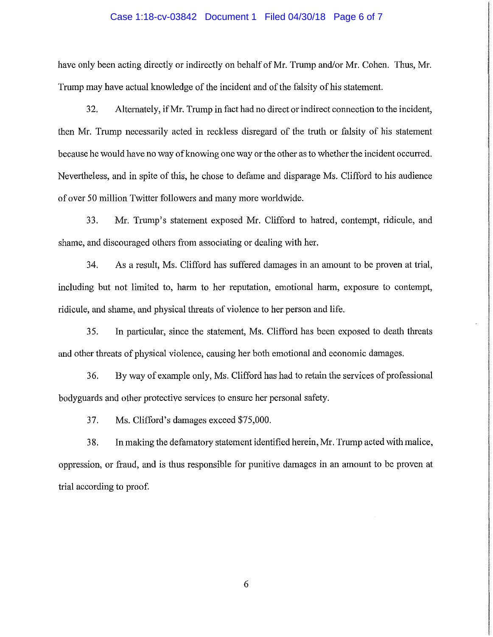#### Case 1:18-cv-03842 Document 1 Filed 04/30/18 Page 6 of 7

have only been acting directly or indirectly on behalf of Mr. Trump and/or Mr. Cohen. Thus, Mr. Trump may have actual knowledge of the incident and of the falsity of his statement.

32. Alternately, ifMr. Trump in fact had no direct or indirect connection to the incident, then Mr. Trump necessarily acted in reckless disregard of the truth or falsity of his statement because he would have no way of knowing one way or the other as to whether the incident occurred. Nevertheless, and in spite of this, he chose to defame and disparage Ms. Clifford to his audience of over 50 million Twitter followers and many more worldwide.

33. Mr. Trump's statement exposed Mr. Clifford to hatred, contempt, ridicule, and shame, and discouraged others from associating or dealing with her.

34. As a result, Ms. Clifford has suffered damages in an amount to be proven at trial, including but not limited to, harm to her reputation, emotional harm, exposure to contempt, ridicule, and shame, and physical threats of violence to her person and life.

35. In particular, since the statement, Ms. Clifford has been exposed to death threats and other threats of physical violence, causing her both emotional and economic damages.

36. By way of example only, Ms. Clifford has had to retain the services of professional bodyguards and other protective services to ensure her personal safety.

37. Ms. Clifford's damages exceed \$75,000.

38. In making the defmnatory statement identified herein, Mr. Trump acted with malice, oppression, or fraud, and is thus responsible for punitive damages in an amount to be proven at trial according to proof.

6